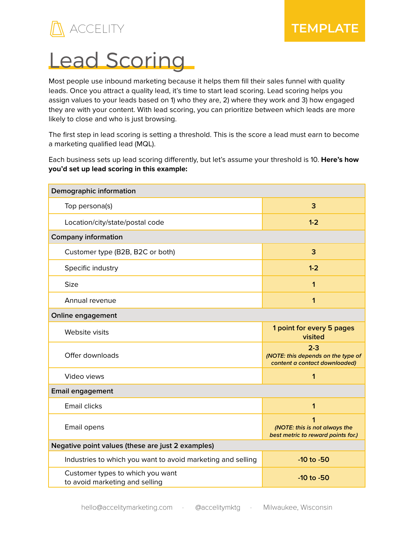

## Lead Scoring

Most people use inbound marketing because it helps them fill their sales funnel with quality leads. Once you attract a quality lead, it's time to start lead scoring. Lead scoring helps you assign values to your leads based on 1) who they are, 2) where they work and 3) how engaged they are with your content. With lead scoring, you can prioritize between which leads are more likely to close and who is just browsing.

The first step in lead scoring is setting a threshold. This is the score a lead must earn to become a marketing qualified lead (MQL).

Each business sets up lead scoring differently, but let's assume your threshold is 10. **Here's how you'd set up lead scoring in this example:**

| Demographic information                                            |                                                                                |  |
|--------------------------------------------------------------------|--------------------------------------------------------------------------------|--|
| Top persona(s)                                                     | 3                                                                              |  |
| Location/city/state/postal code                                    | $1 - 2$                                                                        |  |
| <b>Company information</b>                                         |                                                                                |  |
| Customer type (B2B, B2C or both)                                   | 3                                                                              |  |
| Specific industry                                                  | $1 - 2$                                                                        |  |
| <b>Size</b>                                                        | 1                                                                              |  |
| Annual revenue                                                     | 1                                                                              |  |
| Online engagement                                                  |                                                                                |  |
| Website visits                                                     | 1 point for every 5 pages<br>visited                                           |  |
| Offer downloads                                                    | $2 - 3$<br>(NOTE: this depends on the type of<br>content a contact downloaded) |  |
| Video views                                                        | 1                                                                              |  |
| <b>Email engagement</b>                                            |                                                                                |  |
| <b>Email clicks</b>                                                | 1                                                                              |  |
| Email opens                                                        | 1<br>(NOTE: this is not always the<br>best metric to reward points for.)       |  |
| Negative point values (these are just 2 examples)                  |                                                                                |  |
| Industries to which you want to avoid marketing and selling        | $-10$ to $-50$                                                                 |  |
| Customer types to which you want<br>to avoid marketing and selling | $-10$ to $-50$                                                                 |  |